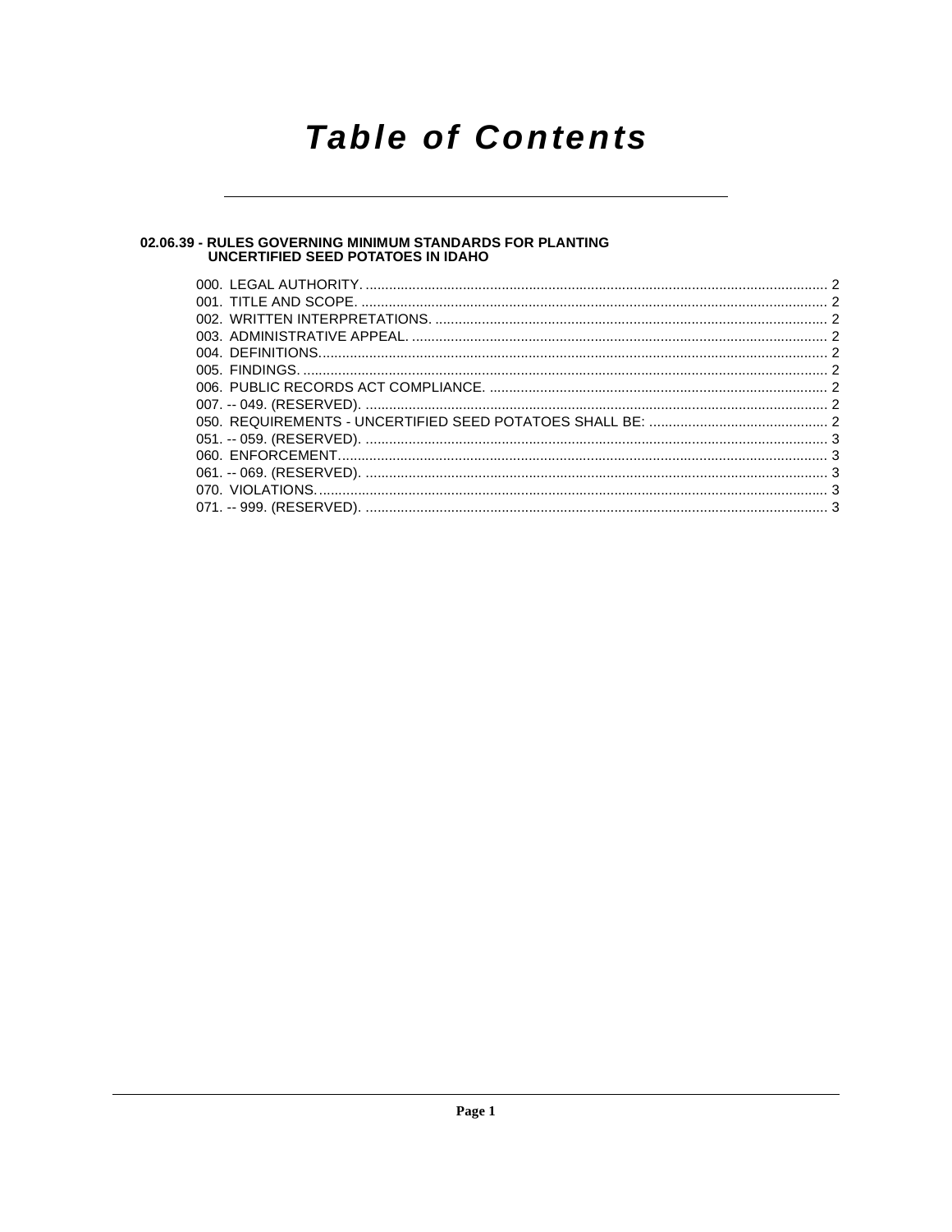## **Table of Contents**

### 02.06.39 - RULES GOVERNING MINIMUM STANDARDS FOR PLANTING<br>UNCERTIFIED SEED POTATOES IN IDAHO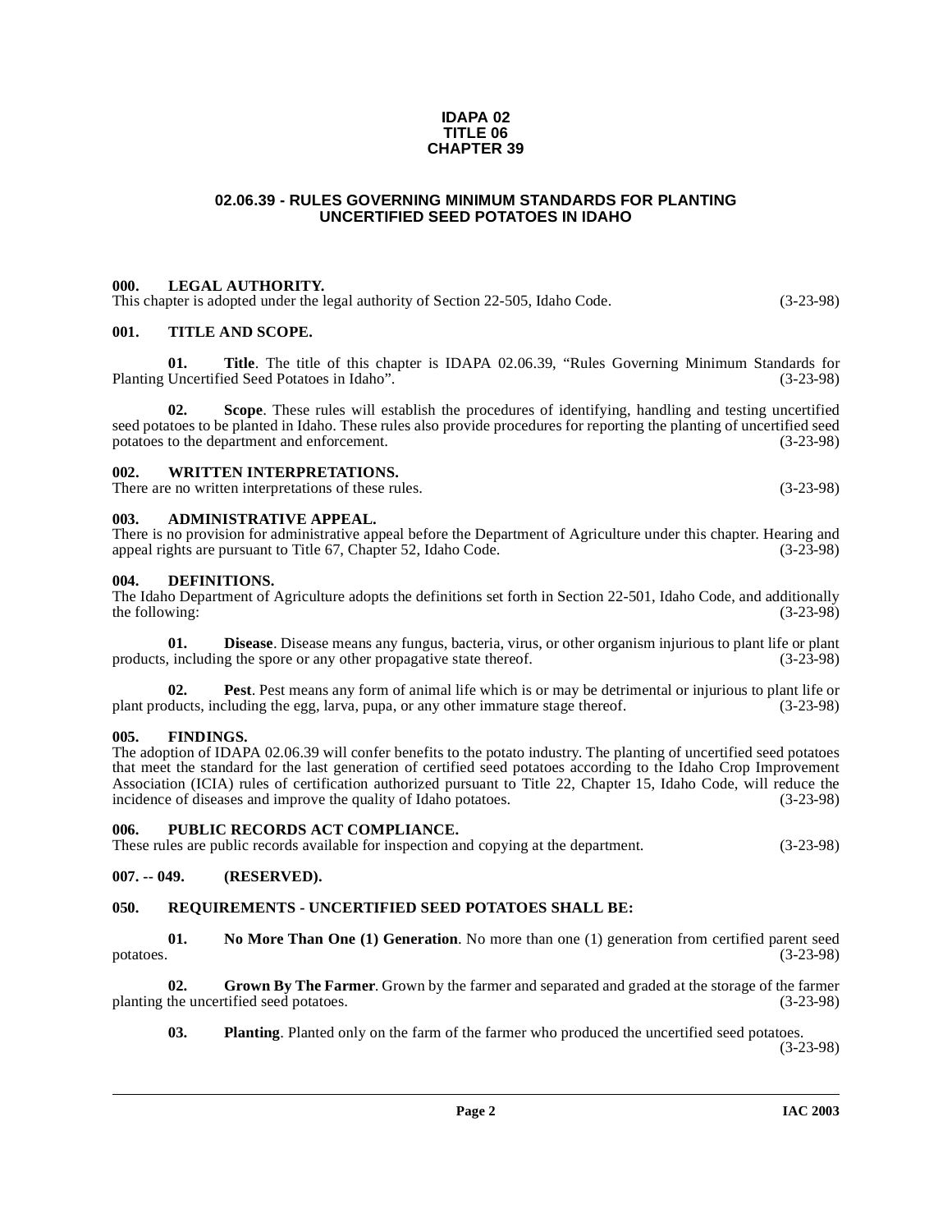#### **IDAPA 02 TITLE 06 CHAPTER 39**

#### **02.06.39 - RULES GOVERNING MINIMUM STANDARDS FOR PLANTING UNCERTIFIED SEED POTATOES IN IDAHO**

#### <span id="page-1-1"></span><span id="page-1-0"></span>**000. LEGAL AUTHORITY.**

This chapter is adopted under the legal authority of Section 22-505, Idaho Code. (3-23-98)

#### <span id="page-1-2"></span>**001. TITLE AND SCOPE.**

**01.** Title. The title of this chapter is IDAPA 02.06.39, "Rules Governing Minimum Standards for Uncertified Seed Potatoes in Idaho". (3-23-98) Planting Uncertified Seed Potatoes in Idaho".

**02. Scope**. These rules will establish the procedures of identifying, handling and testing uncertified seed potatoes to be planted in Idaho. These rules also provide procedures for reporting the planting of uncertified seed<br>potatoes to the department and enforcement. potatoes to the department and enforcement.

#### <span id="page-1-3"></span>**002. WRITTEN INTERPRETATIONS.**

There are no written interpretations of these rules. (3-23-98)

#### <span id="page-1-4"></span>**003. ADMINISTRATIVE APPEAL.**

There is no provision for administrative appeal before the Department of Agriculture under this chapter. Hearing and appeal rights are pursuant to Title 67. Chapter 52. Idaho Code. (3-23-98) appeal rights are pursuant to Title 67, Chapter 52, Idaho Code.

#### <span id="page-1-10"></span><span id="page-1-5"></span>**004. DEFINITIONS.**

The Idaho Department of Agriculture adopts the definitions set forth in Section 22-501, Idaho Code, and additionally the following:  $(3-23-98)$ 

<span id="page-1-11"></span>**01. Disease**. Disease means any fungus, bacteria, virus, or other organism injurious to plant life or plant injurious to plant life or plant injurious to plant life or plant injurious to plant (3-23-98) products, including the spore or any other propagative state thereof.

<span id="page-1-14"></span>**02.** Pest. Pest means any form of animal life which is or may be detrimental or injurious to plant life or plant products, including the egg, larva, pupa, or any other immature stage thereof. (3-23-98)

#### <span id="page-1-6"></span>**005. FINDINGS.**

The adoption of IDAPA 02.06.39 will confer benefits to the potato industry. The planting of uncertified seed potatoes that meet the standard for the last generation of certified seed potatoes according to the Idaho Crop Improvement Association (ICIA) rules of certification authorized pursuant to Title 22, Chapter 15, Idaho Code, will reduce the incidence of diseases and improve the quality of Idaho potatoes. (3-23-98)

#### <span id="page-1-7"></span>**006. PUBLIC RECORDS ACT COMPLIANCE.**

These rules are public records available for inspection and copying at the department. (3-23-98)

#### <span id="page-1-8"></span>**007. -- 049. (RESERVED).**

#### <span id="page-1-16"></span><span id="page-1-9"></span>**050. REQUIREMENTS - UNCERTIFIED SEED POTATOES SHALL BE:**

<span id="page-1-13"></span>**01.** No More Than One (1) Generation. No more than one (1) generation from certified parent seed potatoes. (3-23-98) potatoes. (3-23-98)

**02.** Grown By The Farmer. Grown by the farmer and separated and graded at the storage of the farmer the uncertified seed potatoes. (3-23-98) planting the uncertified seed potatoes.

<span id="page-1-15"></span><span id="page-1-12"></span>**03.** Planting. Planted only on the farm of the farmer who produced the uncertified seed potatoes.

(3-23-98)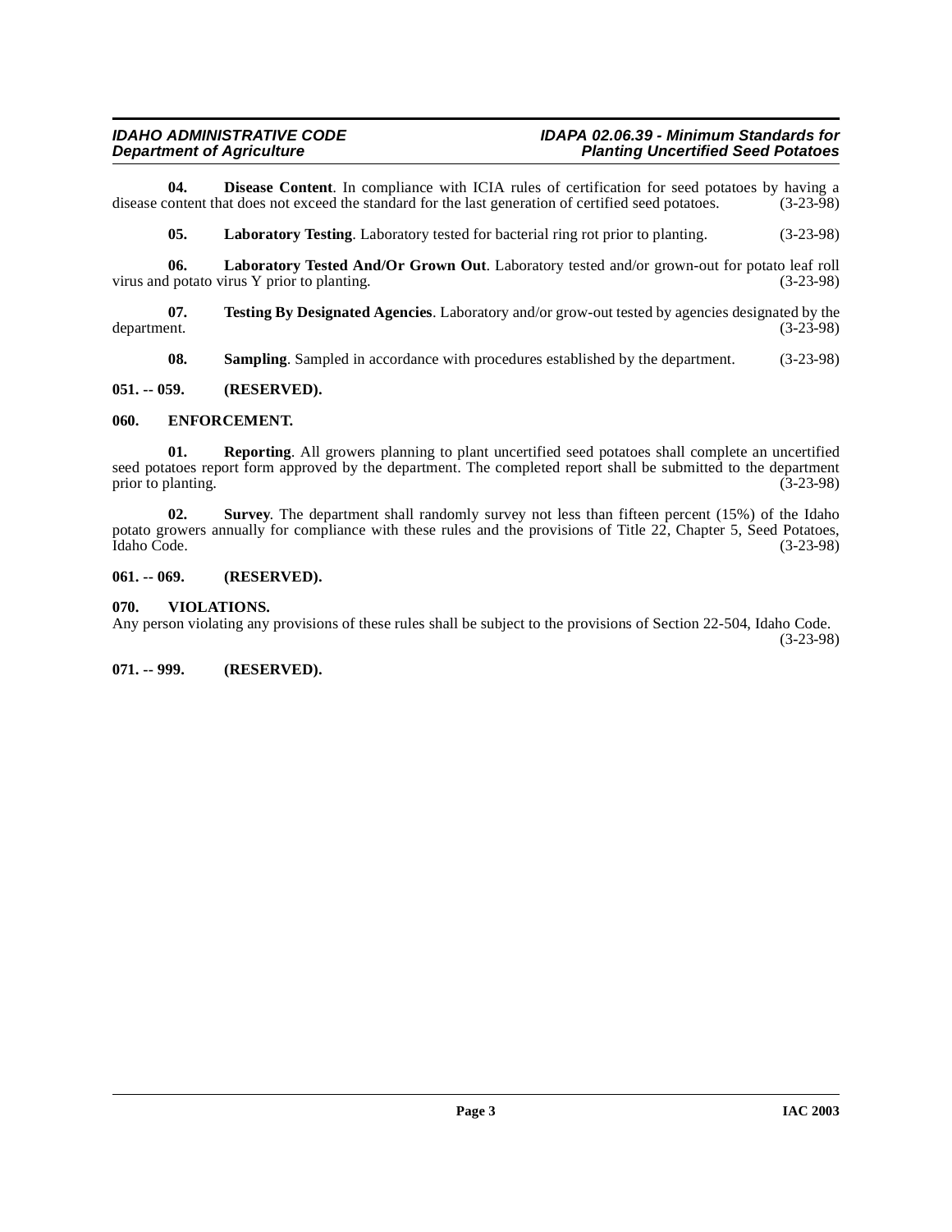**04. Disease Content**. In compliance with ICIA rules of certification for seed potatoes by having a content that does not exceed the standard for the last generation of certified seed potatoes. (3-23-98) disease content that does not exceed the standard for the last generation of certified seed potatoes.

<span id="page-2-8"></span><span id="page-2-7"></span><span id="page-2-5"></span>**05. Laboratory Testing**. Laboratory tested for bacterial ring rot prior to planting. (3-23-98)

**06.** Laboratory Tested And/Or Grown Out. Laboratory tested and/or grown-out for potato leaf roll potato virus Y prior to planting. (3-23-98) virus and potato virus  $Y$  prior to planting.

**07.** Testing By Designated Agencies. Laboratory and/or grow-out tested by agencies designated by the department. (3-23-98) department. (3-23-98)

<span id="page-2-11"></span><span id="page-2-9"></span><span id="page-2-6"></span>**08. Sampling**. Sampled in accordance with procedures established by the department. (3-23-98)

#### <span id="page-2-0"></span>**051. -- 059. (RESERVED).**

#### <span id="page-2-1"></span>**060. ENFORCEMENT.**

**01. Reporting**. All growers planning to plant uncertified seed potatoes shall complete an uncertified seed potatoes report form approved by the department. The completed report shall be submitted to the department prior to planting. (3-23-98)

<span id="page-2-10"></span>**02. Survey**. The department shall randomly survey not less than fifteen percent (15%) of the Idaho potato growers annually for compliance with these rules and the provisions of Title 22, Chapter 5, Seed Potatoes, Idaho Code. (3-23-98) Idaho Code. (3-23-98)

#### <span id="page-2-2"></span>**061. -- 069. (RESERVED).**

#### <span id="page-2-12"></span><span id="page-2-3"></span>**070. VIOLATIONS.**

Any person violating any provisions of these rules shall be subject to the provisions of Section 22-504, Idaho Code. (3-23-98)

<span id="page-2-4"></span>**071. -- 999. (RESERVED).**